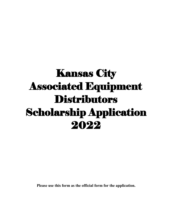# Kansas City Associated Equipment **Distributors** Scholarship Application 2022

**Please use this form as the official form for the application.**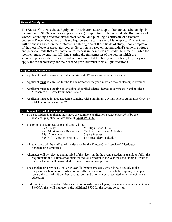## **General Description:**

The Kansas City Associated Equipment Distributors awards up to four annual scholarships in the amount of \$1,000 each (\$500 per semester) to up to four full-time students. Both men and women, attending a vocational/technical school, and pursuing a certificate or associates degree in Diesel Mechanics or Heavy Equipment Repair, are eligible to apply. The recipients will be chosen based on their interest in entering one of these fields of study, upon completion of their certificate or associates degree. Selection is based on the individual's general aptitude and personal traits that are conducive to success in these fields of study. To remain eligible the recipient must be enrolled full-time starting the fall semester of the year in which the scholarship is awarded . Once a student has completed the first year of school, they may reapply for the scholarship for their second year, but must meet all qualifications.

# **Eligibility Requirements:**

- Applicant **must** be enrolled as full-time student (12 hour minimum per semester).
- Applicant **must** be enrolled for the fall semester for the year in which the scholarship is awarded.
- Applicant **must** be pursuing an associate of applied science degree or certificate in either Diesel Mechanics or Heavy Equipment Repair.
- Applicant **must** be in good academic standing with a minimum 2.5 high school cumulative GPA, or a GED minimum score of 260.

# **Selection and Award of Scholarship:**

- To be considered, applicant must have the complete application packet *postmarked* by the scholarship application deadline of **April 29, 2022**.
- The criteria used to evaluate applicants will be:

| $25\%$ Essay                                                 | 15% High School GPA            |
|--------------------------------------------------------------|--------------------------------|
| 25% Short Answer Responses                                   | 15% Involvement and Activities |
| 15% Attendance                                               | 5% References                  |
| 3.0 GPA if enrolled previously in post-secondary institution |                                |

- All applicants will be notified of the decision by the Kansas City Associated Distributors Scholarship Committee.
- Alternates will be selected and notified of this decision. In the event a student is unable to fulfill the requirement of full-time enrollment for the fall semester in the year the scholarship is awarded, the scholarship will be awarded to the next available applicant.
- The scholarship provides \$1,000 per year (\$500 per semester), which is paid directly to the recipient's school, upon verification of full-time enrollment. The scholarship may be applied toward the cost of tuition, fees, books, tools and/or other cost associated with the recipient's education.
- If, during the first semester of the awarded scholarship school year, the student does not maintain a 3.0 GPA, they will **not** receive the additional \$500 for the second semester.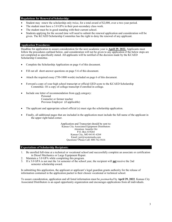### **Regulations for Renewal of Scholarship:**

- Student may renew the scholarship only twice, for a total award of \$2,000, over a two-year period.
- The student must have a 3.0 GPA in their post-secondary class work.
- The student must be in good standing with their current school.
- Students applying for the second time will need to submit the renewal application and consideration will be given. The KCAED Scholarship Committee has the right to deny the renewal of any applicant.

## **Application Procedures:**

Deadline for application to assure consideration for the next academic year is **April 29. 2022.** Applicants must follow the procedures outlined below, and consideration will not be given to any application if the below steps are not completed as specifically stated. All applicants will be notified of the decision made by the KCAED Scholarship Committee.

- Complete the Scholarship Application on page 4 of this document.
- Fill out all short-answer questions on page 5-6 of this document.
- Attach the required essay (750-1000 words) included on page 6 of this document.
- Forward a copy of your high school transcript or official GED score to the KCAED Scholarship Committee. Or a copy of college transcript if enrolled in college.
- Include one letter of recommendation from each category:
	- Personal Counselor or former teacher Previous Employer (if applicable)
- The applicant and appropriate school official (s) must sign the scholarship application.
- Finally, all additional pages that are included in the application must include the full name of the applicant in the upper right hand corner.

Application and Transcript should be sent to: Kansas City Associated Equipment Distributors Attention: Jennifer Orr P.O. Box 419264 Kansas City, MO 64141-6264 Email: jorr@westerneda.com Questions? Please Call: 800-762-5616

## **Expectations of Scholarship Recipients:**

- 1. Be enrolled full-time at a technical or vocational school and successfully complete an associate or certification in Diesel Mechanics or Large Equipment Repair.
- 2. Maintain a 3.0 GPA while completing this program.
- 3. If a 3.0 GPA is not met the 1st semester of the school year, the recipient will **not** receive the 2nd semester scholarship award.

In submitting this application, the applicant or applicant's legal guardian grants authority for the release of information contained in the application packet to their chosen vocational or technical school.

To assure consideration, application and all listed information must be *postmarked* by **April 29, 2022**. Kansas City Associated Distributors is an equal opportunity organization and encourages applications from all individuals.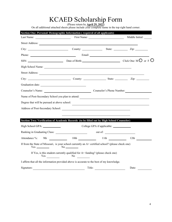# KCAED Scholarship Form

(Please return by **April 29, 2022**)

On all additional attached sheets please include your complete name in the top right hand corner.

| Section One: Personal/ Demographic Information (required of all applicants)                                                                                                                                                    |                                                                                               |  | Middle Initial: |
|--------------------------------------------------------------------------------------------------------------------------------------------------------------------------------------------------------------------------------|-----------------------------------------------------------------------------------------------|--|-----------------|
| Street Address:                                                                                                                                                                                                                |                                                                                               |  |                 |
| City: City: County: County: County: State: Zip: Zip:                                                                                                                                                                           |                                                                                               |  |                 |
|                                                                                                                                                                                                                                |                                                                                               |  |                 |
|                                                                                                                                                                                                                                |                                                                                               |  |                 |
| High School Name: <u>Night School Name</u>                                                                                                                                                                                     |                                                                                               |  |                 |
|                                                                                                                                                                                                                                |                                                                                               |  |                 |
| City: City: County: County: State: City: Zip: 2.                                                                                                                                                                               |                                                                                               |  |                 |
|                                                                                                                                                                                                                                |                                                                                               |  |                 |
| Counselor's Name: Counselor's Phone Number:                                                                                                                                                                                    |                                                                                               |  |                 |
| Name of Post-Secondary School you plan to attend:                                                                                                                                                                              |                                                                                               |  |                 |
| Degree that will be pursued at above school:                                                                                                                                                                                   |                                                                                               |  |                 |
|                                                                                                                                                                                                                                |                                                                                               |  |                 |
|                                                                                                                                                                                                                                |                                                                                               |  |                 |
| Section Two: Verification of Academic Records (to be filled out by High School Counselor)                                                                                                                                      |                                                                                               |  |                 |
| High School GPA: _______________                                                                                                                                                                                               |                                                                                               |  |                 |
| Ranking in Graduating Class: with the control of the control of the control of the control of the control of the control of the control of the control of the control of the control of the control of the control of the cont |                                                                                               |  |                 |
| Attendance %:                                                                                                                                                                                                                  | 9th 10th 11th 12th                                                                            |  |                 |
| If from the State of Missouri, is your school currently an A+ certified school? (please check one)                                                                                                                             |                                                                                               |  |                 |
| <b>Yes</b>                                                                                                                                                                                                                     | If Yes, is this student currently qualified for A+ funding? (please check one)<br>$N^{\rm o}$ |  |                 |
| I affirm that all the information provided above is accurate to the best of my knowledge.                                                                                                                                      |                                                                                               |  |                 |
| Signature:                                                                                                                                                                                                                     | Title:                                                                                        |  | Date:           |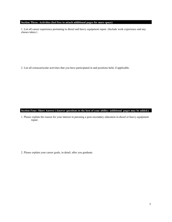# **Section Three: Activities (feel free to attach additional pages for more space)**

1. List all career experience pertaining to diesel and heavy equipment repair. (Include work experience and any classes taken.)

2. List all extracurricular activities that you have participated in and positions held, if applicable.

### **Section Four: Short Answer (Answer questions to the best of your ability: additional pages may be added.)**

1. Please explain the reason for your interest in pursuing a post-secondary education in diesel or heavy equipment repair.

2. Please explain your career goals, in detail, after you graduate.